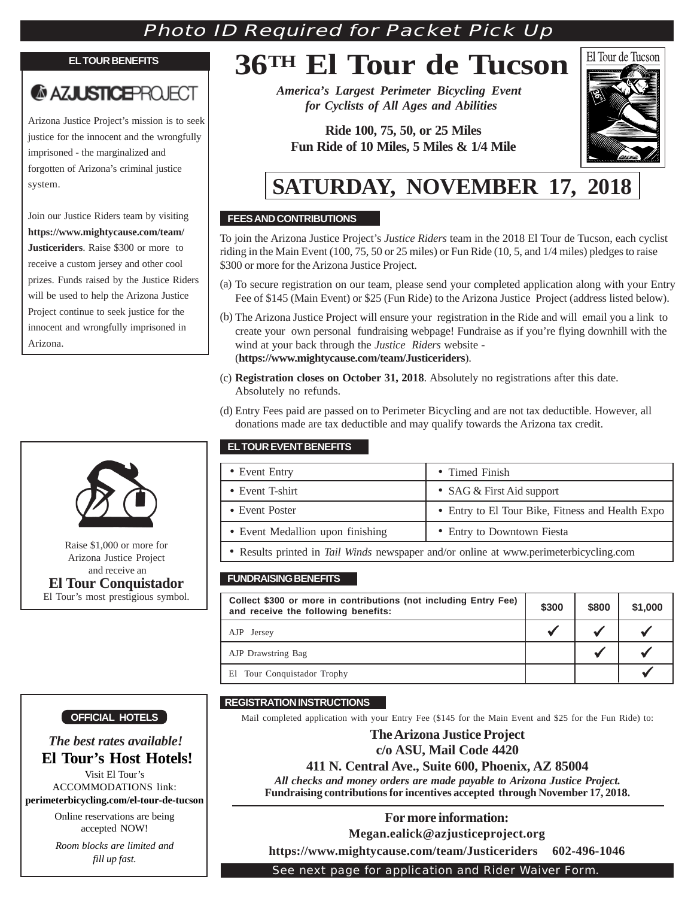### Photo ID Required for Packet Pick Up

#### **EL TOUR BENEFITS**

## **AZJUSTICEPROJECT**

Arizona Justice Project's mission is to seek justice for the innocent and the wrongfully imprisoned - the marginalized and forgotten of Arizona's criminal justice system.

Join our Justice Riders team by visiting **https://www.mightycause.com/team/ Justiceriders**. Raise \$300 or more to receive a custom jersey and other cool prizes. Funds raised by the Justice Riders will be used to help the Arizona Justice Project continue to seek justice for the innocent and wrongfully imprisoned in Arizona.



Arizona Justice Project and receive an **El Tour Conquistador** El Tour's most prestigious symbol.

# **36TH El Tour de Tucson**

*America's Largest Perimeter Bicycling Event for Cyclists of All Ages and Abilities*

**Ride 100, 75, 50, or 25 Miles Fun Ride of 10 Miles, 5 Miles & 1/4 Mile**



## **SATURDAY, NOVEMBER 17, 2018**

#### **FEES AND CONTRIBUTIONS**

To join the Arizona Justice Project's *Justice Riders* team in the 2018 El Tour de Tucson, each cyclist riding in the Main Event (100, 75, 50 or 25 miles) or Fun Ride (10, 5, and 1/4 miles) pledges to raise \$300 or more for the Arizona Justice Project.

- (a) To secure registration on our team, please send your completed application along with your Entry Fee of \$145 (Main Event) or \$25 (Fun Ride) to the Arizona Justice Project (address listed below).
- (b) The Arizona Justice Project will ensure your registration in the Ride and will email you a link to create your own personal fundraising webpage! Fundraise as if you're flying downhill with the wind at your back through the *Justice Riders* website - (**https://www.mightycause.com/team/Justiceriders**).
- (c) **Registration closes on October 31, 2018**. Absolutely no registrations after this date. Absolutely no refunds.
- (d) Entry Fees paid are passed on to Perimeter Bicycling and are not tax deductible. However, all donations made are tax deductible and may qualify towards the Arizona tax credit.

#### **EL TOUR EVENT BENEFITS**

|                                                      | • Event Entry                                                                         | • Timed Finish                                   |
|------------------------------------------------------|---------------------------------------------------------------------------------------|--------------------------------------------------|
|                                                      | • Event T-shirt                                                                       | • SAG $&$ First Aid support                      |
|                                                      | • Event Poster                                                                        | • Entry to El Tour Bike, Fitness and Health Expo |
|                                                      | • Event Medallion upon finishing                                                      | • Entry to Downtown Fiesta                       |
| Raise \$1,000 or more for<br>Arizona Instige Droiget | • Results printed in Tail Winds newspaper and/or online at www.perimeterbicycling.com |                                                  |

#### **FUNDRAISING BENEFITS**

| Collect \$300 or more in contributions (not including Entry Fee)<br>and receive the following benefits: |  | \$800 | \$1,000 |
|---------------------------------------------------------------------------------------------------------|--|-------|---------|
| AJP Jersey                                                                                              |  |       |         |
| AJP Drawstring Bag                                                                                      |  |       |         |
| El Tour Conquistador Trophy                                                                             |  |       |         |

#### **OFFICIAL HOTELS**

#### *The best rates available!*  **El Tour's Host Hotels!**

Visit El Tour's ACCOMMODATIONS link: **perimeterbicycling.com/el-tour-de-tucson**

> Online reservations are being accepted NOW!

> *Room blocks are limited and fill up fast.*

#### **REGISTRATION INSTRUCTIONS**

Mail completed application with your Entry Fee (\$145 for the Main Event and \$25 for the Fun Ride) to:

#### **The Arizona Justice Project**

**c/o ASU, Mail Code 4420**

#### **411 N. Central Ave., Suite 600, Phoenix, AZ 85004**

*All checks and money orders are made payable to Arizona Justice Project.* **Fundraising contributions for incentives accepted through November 17, 2018.**

#### **For more information:**

**Megan.ealick@azjusticeproject.org**

**https://www.mightycause.com/team/Justiceriders 602-496-1046**

See next page for application and Rider Waiver Form.